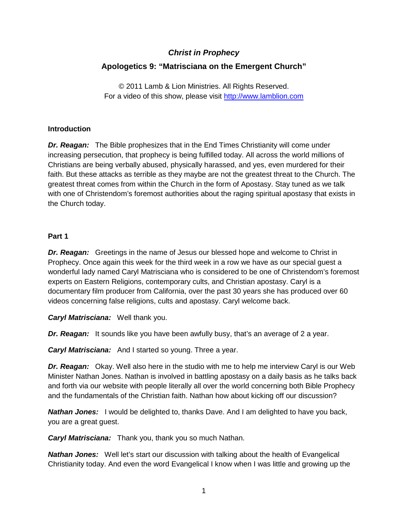# *Christ in Prophecy*

## **Apologetics 9: "Matrisciana on the Emergent Church"**

© 2011 Lamb & Lion Ministries. All Rights Reserved. For a video of this show, please visit [http://www.lamblion.com](http://www.lamblion.com/)

#### **Introduction**

*Dr. Reagan:* The Bible prophesizes that in the End Times Christianity will come under increasing persecution, that prophecy is being fulfilled today. All across the world millions of Christians are being verbally abused, physically harassed, and yes, even murdered for their faith. But these attacks as terrible as they maybe are not the greatest threat to the Church. The greatest threat comes from within the Church in the form of Apostasy. Stay tuned as we talk with one of Christendom's foremost authorities about the raging spiritual apostasy that exists in the Church today.

#### **Part 1**

**Dr. Reagan:** Greetings in the name of Jesus our blessed hope and welcome to Christ in Prophecy. Once again this week for the third week in a row we have as our special guest a wonderful lady named Caryl Matrisciana who is considered to be one of Christendom's foremost experts on Eastern Religions, contemporary cults, and Christian apostasy. Caryl is a documentary film producer from California, over the past 30 years she has produced over 60 videos concerning false religions, cults and apostasy. Caryl welcome back.

*Caryl Matrisciana:* Well thank you.

*Dr. Reagan:* It sounds like you have been awfully busy, that's an average of 2 a year.

*Caryl Matrisciana:* And I started so young. Three a year.

*Dr. Reagan:* Okay. Well also here in the studio with me to help me interview Caryl is our Web Minister Nathan Jones. Nathan is involved in battling apostasy on a daily basis as he talks back and forth via our website with people literally all over the world concerning both Bible Prophecy and the fundamentals of the Christian faith. Nathan how about kicking off our discussion?

*Nathan Jones:* I would be delighted to, thanks Dave. And I am delighted to have you back, you are a great guest.

*Caryl Matrisciana:* Thank you, thank you so much Nathan.

**Nathan Jones:** Well let's start our discussion with talking about the health of Evangelical Christianity today. And even the word Evangelical I know when I was little and growing up the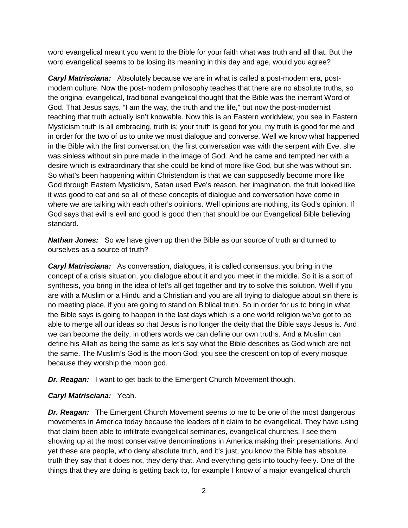word evangelical meant you went to the Bible for your faith what was truth and all that. But the word evangelical seems to be losing its meaning in this day and age, would you agree?

*Caryl Matrisciana:* Absolutely because we are in what is called a post-modern era, postmodern culture. Now the post-modern philosophy teaches that there are no absolute truths, so the original evangelical, traditional evangelical thought that the Bible was the inerrant Word of God. That Jesus says, "I am the way, the truth and the life," but now the post-modernist teaching that truth actually isn't knowable. Now this is an Eastern worldview, you see in Eastern Mysticism truth is all embracing, truth is; your truth is good for you, my truth is good for me and in order for the two of us to unite we must dialogue and converse. Well we know what happened in the Bible with the first conversation; the first conversation was with the serpent with Eve, she was sinless without sin pure made in the image of God. And he came and tempted her with a desire which is extraordinary that she could be kind of more like God, but she was without sin. So what's been happening within Christendom is that we can supposedly become more like God through Eastern Mysticism, Satan used Eve's reason, her imagination, the fruit looked like it was good to eat and so all of these concepts of dialogue and conversation have come in where we are talking with each other's opinions. Well opinions are nothing, its God's opinion. If God says that evil is evil and good is good then that should be our Evangelical Bible believing standard.

*Nathan Jones:* So we have given up then the Bible as our source of truth and turned to ourselves as a source of truth?

*Caryl Matrisciana:* As conversation, dialogues, it is called consensus, you bring in the concept of a crisis situation, you dialogue about it and you meet in the middle. So it is a sort of synthesis, you bring in the idea of let's all get together and try to solve this solution. Well if you are with a Muslim or a Hindu and a Christian and you are all trying to dialogue about sin there is no meeting place, if you are going to stand on Biblical truth. So in order for us to bring in what the Bible says is going to happen in the last days which is a one world religion we've got to be able to merge all our ideas so that Jesus is no longer the deity that the Bible says Jesus is. And we can become the deity, in others words we can define our own truths. And a Muslim can define his Allah as being the same as let's say what the Bible describes as God which are not the same. The Muslim's God is the moon God; you see the crescent on top of every mosque because they worship the moon god.

*Dr. Reagan:* I want to get back to the Emergent Church Movement though.

#### *Caryl Matrisciana:* Yeah.

*Dr. Reagan:* The Emergent Church Movement seems to me to be one of the most dangerous movements in America today because the leaders of it claim to be evangelical. They have using that claim been able to infiltrate evangelical seminaries, evangelical churches. I see them showing up at the most conservative denominations in America making their presentations. And yet these are people, who deny absolute truth, and it's just, you know the Bible has absolute truth they say that it does not, they deny that. And everything gets into touchy-feely. One of the things that they are doing is getting back to, for example I know of a major evangelical church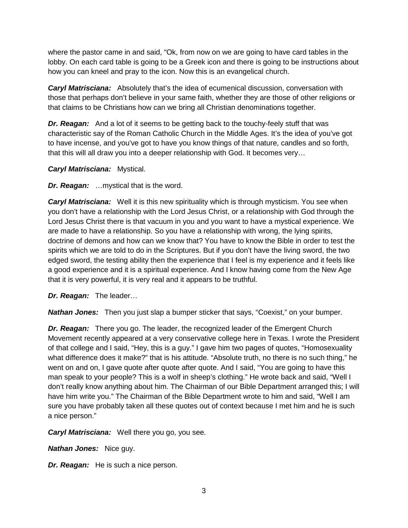where the pastor came in and said, "Ok, from now on we are going to have card tables in the lobby. On each card table is going to be a Greek icon and there is going to be instructions about how you can kneel and pray to the icon. Now this is an evangelical church.

*Caryl Matrisciana:* Absolutely that's the idea of ecumenical discussion, conversation with those that perhaps don't believe in your same faith, whether they are those of other religions or that claims to be Christians how can we bring all Christian denominations together.

*Dr. Reagan:* And a lot of it seems to be getting back to the touchy-feely stuff that was characteristic say of the Roman Catholic Church in the Middle Ages. It's the idea of you've got to have incense, and you've got to have you know things of that nature, candles and so forth, that this will all draw you into a deeper relationship with God. It becomes very…

*Caryl Matrisciana:* Mystical.

*Dr. Reagan:* …mystical that is the word.

*Caryl Matrisciana:* Well it is this new spirituality which is through mysticism. You see when you don't have a relationship with the Lord Jesus Christ, or a relationship with God through the Lord Jesus Christ there is that vacuum in you and you want to have a mystical experience. We are made to have a relationship. So you have a relationship with wrong, the lying spirits, doctrine of demons and how can we know that? You have to know the Bible in order to test the spirits which we are told to do in the Scriptures. But if you don't have the living sword, the two edged sword, the testing ability then the experience that I feel is my experience and it feels like a good experience and it is a spiritual experience. And I know having come from the New Age that it is very powerful, it is very real and it appears to be truthful.

*Dr. Reagan:* The leader…

*Nathan Jones:* Then you just slap a bumper sticker that says, "Coexist," on your bumper.

*Dr. Reagan:* There you go. The leader, the recognized leader of the Emergent Church Movement recently appeared at a very conservative college here in Texas. I wrote the President of that college and I said, "Hey, this is a guy." I gave him two pages of quotes, "Homosexuality what difference does it make?" that is his attitude. "Absolute truth, no there is no such thing," he went on and on, I gave quote after quote after quote. And I said, "You are going to have this man speak to your people? This is a wolf in sheep's clothing." He wrote back and said, "Well I don't really know anything about him. The Chairman of our Bible Department arranged this; I will have him write you." The Chairman of the Bible Department wrote to him and said, "Well I am sure you have probably taken all these quotes out of context because I met him and he is such a nice person."

*Caryl Matrisciana:* Well there you go, you see.

*Nathan Jones:* Nice guy.

*Dr. Reagan:* He is such a nice person.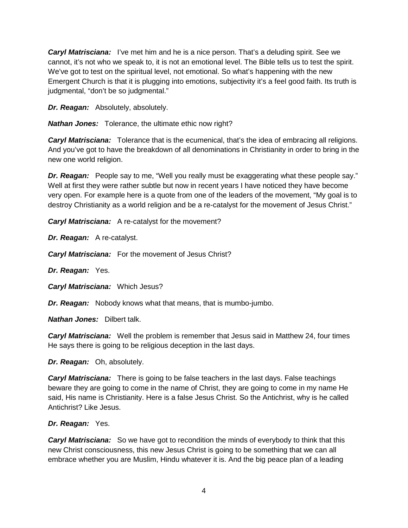*Caryl Matrisciana:* I've met him and he is a nice person. That's a deluding spirit. See we cannot, it's not who we speak to, it is not an emotional level. The Bible tells us to test the spirit. We've got to test on the spiritual level, not emotional. So what's happening with the new Emergent Church is that it is plugging into emotions, subjectivity it's a feel good faith. Its truth is judgmental, "don't be so judgmental."

*Dr. Reagan:* Absolutely, absolutely.

*Nathan Jones:* Tolerance, the ultimate ethic now right?

*Caryl Matrisciana:* Tolerance that is the ecumenical, that's the idea of embracing all religions. And you've got to have the breakdown of all denominations in Christianity in order to bring in the new one world religion.

*Dr. Reagan:* People say to me, "Well you really must be exaggerating what these people say." Well at first they were rather subtle but now in recent years I have noticed they have become very open. For example here is a quote from one of the leaders of the movement, "My goal is to destroy Christianity as a world religion and be a re-catalyst for the movement of Jesus Christ."

*Caryl Matrisciana:* A re-catalyst for the movement?

*Dr. Reagan:* A re-catalyst.

*Caryl Matrisciana:* For the movement of Jesus Christ?

*Dr. Reagan:* Yes.

*Caryl Matrisciana:* Which Jesus?

*Dr. Reagan:* Nobody knows what that means, that is mumbo-jumbo.

*Nathan Jones:* Dilbert talk.

*Caryl Matrisciana:* Well the problem is remember that Jesus said in Matthew 24, four times He says there is going to be religious deception in the last days.

*Dr. Reagan:* Oh, absolutely.

*Caryl Matrisciana:* There is going to be false teachers in the last days. False teachings beware they are going to come in the name of Christ, they are going to come in my name He said, His name is Christianity. Here is a false Jesus Christ. So the Antichrist, why is he called Antichrist? Like Jesus.

#### *Dr. Reagan:* Yes.

*Caryl Matrisciana:* So we have got to recondition the minds of everybody to think that this new Christ consciousness, this new Jesus Christ is going to be something that we can all embrace whether you are Muslim, Hindu whatever it is. And the big peace plan of a leading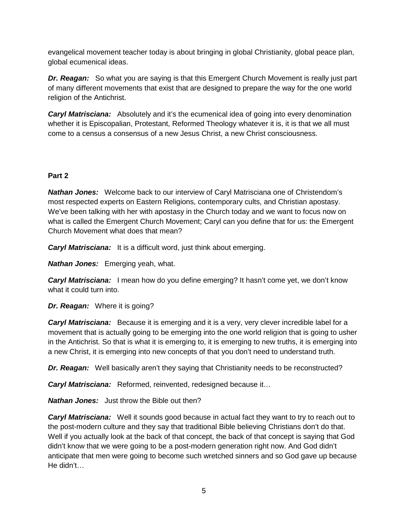evangelical movement teacher today is about bringing in global Christianity, global peace plan, global ecumenical ideas.

*Dr. Reagan:* So what you are saying is that this Emergent Church Movement is really just part of many different movements that exist that are designed to prepare the way for the one world religion of the Antichrist.

*Caryl Matrisciana:* Absolutely and it's the ecumenical idea of going into every denomination whether it is Episcopalian, Protestant, Reformed Theology whatever it is, it is that we all must come to a census a consensus of a new Jesus Christ, a new Christ consciousness.

### **Part 2**

*Nathan Jones:* Welcome back to our interview of Caryl Matrisciana one of Christendom's most respected experts on Eastern Religions, contemporary cults, and Christian apostasy. We've been talking with her with apostasy in the Church today and we want to focus now on what is called the Emergent Church Movement; Caryl can you define that for us: the Emergent Church Movement what does that mean?

*Caryl Matrisciana:* It is a difficult word, just think about emerging.

*Nathan Jones:* Emerging yeah, what.

*Caryl Matrisciana:* I mean how do you define emerging? It hasn't come yet, we don't know what it could turn into.

*Dr. Reagan:* Where it is going?

*Caryl Matrisciana:* Because it is emerging and it is a very, very clever incredible label for a movement that is actually going to be emerging into the one world religion that is going to usher in the Antichrist. So that is what it is emerging to, it is emerging to new truths, it is emerging into a new Christ, it is emerging into new concepts of that you don't need to understand truth.

**Dr. Reagan:** Well basically aren't they saying that Christianity needs to be reconstructed?

*Caryl Matrisciana:* Reformed, reinvented, redesigned because it…

*Nathan Jones:* Just throw the Bible out then?

**Caryl Matrisciana:** Well it sounds good because in actual fact they want to try to reach out to the post-modern culture and they say that traditional Bible believing Christians don't do that. Well if you actually look at the back of that concept, the back of that concept is saying that God didn't know that we were going to be a post-modern generation right now. And God didn't anticipate that men were going to become such wretched sinners and so God gave up because He didn't…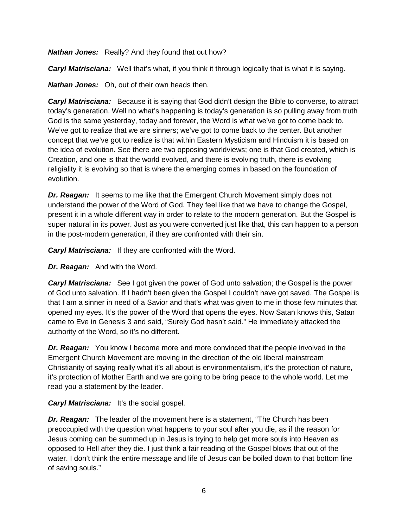*Nathan Jones:* Really? And they found that out how?

*Caryl Matrisciana:* Well that's what, if you think it through logically that is what it is saying.

*Nathan Jones:* Oh, out of their own heads then.

*Caryl Matrisciana:* Because it is saying that God didn't design the Bible to converse, to attract today's generation. Well no what's happening is today's generation is so pulling away from truth God is the same yesterday, today and forever, the Word is what we've got to come back to. We've got to realize that we are sinners; we've got to come back to the center. But another concept that we've got to realize is that within Eastern Mysticism and Hinduism it is based on the idea of evolution. See there are two opposing worldviews; one is that God created, which is Creation, and one is that the world evolved, and there is evolving truth, there is evolving religiality it is evolving so that is where the emerging comes in based on the foundation of evolution.

*Dr. Reagan:* It seems to me like that the Emergent Church Movement simply does not understand the power of the Word of God. They feel like that we have to change the Gospel, present it in a whole different way in order to relate to the modern generation. But the Gospel is super natural in its power. Just as you were converted just like that, this can happen to a person in the post-modern generation, if they are confronted with their sin.

*Caryl Matrisciana:* If they are confronted with the Word.

*Dr. Reagan:* And with the Word.

*Caryl Matrisciana:* See I got given the power of God unto salvation; the Gospel is the power of God unto salvation. If I hadn't been given the Gospel I couldn't have got saved. The Gospel is that I am a sinner in need of a Savior and that's what was given to me in those few minutes that opened my eyes. It's the power of the Word that opens the eyes. Now Satan knows this, Satan came to Eve in Genesis 3 and said, "Surely God hasn't said." He immediately attacked the authority of the Word, so it's no different.

*Dr. Reagan:* You know I become more and more convinced that the people involved in the Emergent Church Movement are moving in the direction of the old liberal mainstream Christianity of saying really what it's all about is environmentalism, it's the protection of nature, it's protection of Mother Earth and we are going to be bring peace to the whole world. Let me read you a statement by the leader.

*Caryl Matrisciana:* It's the social gospel.

*Dr. Reagan:* The leader of the movement here is a statement, "The Church has been preoccupied with the question what happens to your soul after you die, as if the reason for Jesus coming can be summed up in Jesus is trying to help get more souls into Heaven as opposed to Hell after they die. I just think a fair reading of the Gospel blows that out of the water. I don't think the entire message and life of Jesus can be boiled down to that bottom line of saving souls."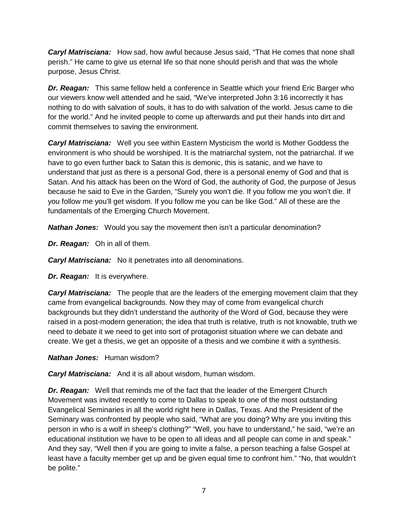*Caryl Matrisciana:* How sad, how awful because Jesus said, "That He comes that none shall perish." He came to give us eternal life so that none should perish and that was the whole purpose, Jesus Christ.

*Dr. Reagan:* This same fellow held a conference in Seattle which your friend Eric Barger who our viewers know well attended and he said, "We've interpreted John 3:16 incorrectly it has nothing to do with salvation of souls, it has to do with salvation of the world. Jesus came to die for the world." And he invited people to come up afterwards and put their hands into dirt and commit themselves to saving the environment.

*Caryl Matrisciana:* Well you see within Eastern Mysticism the world is Mother Goddess the environment is who should be worshiped. It is the matriarchal system, not the patriarchal. If we have to go even further back to Satan this is demonic, this is satanic, and we have to understand that just as there is a personal God, there is a personal enemy of God and that is Satan. And his attack has been on the Word of God, the authority of God, the purpose of Jesus because he said to Eve in the Garden, "Surely you won't die. If you follow me you won't die. If you follow me you'll get wisdom. If you follow me you can be like God." All of these are the fundamentals of the Emerging Church Movement.

*Nathan Jones:* Would you say the movement then isn't a particular denomination?

*Dr. Reagan:* Oh in all of them.

*Caryl Matrisciana:* No it penetrates into all denominations.

*Dr. Reagan:* It is everywhere.

*Caryl Matrisciana:* The people that are the leaders of the emerging movement claim that they came from evangelical backgrounds. Now they may of come from evangelical church backgrounds but they didn't understand the authority of the Word of God, because they were raised in a post-modern generation; the idea that truth is relative, truth is not knowable, truth we need to debate it we need to get into sort of protagonist situation where we can debate and create. We get a thesis, we get an opposite of a thesis and we combine it with a synthesis.

*Nathan Jones:* Human wisdom?

*Caryl Matrisciana:* And it is all about wisdom, human wisdom.

*Dr. Reagan:* Well that reminds me of the fact that the leader of the Emergent Church Movement was invited recently to come to Dallas to speak to one of the most outstanding Evangelical Seminaries in all the world right here in Dallas, Texas. And the President of the Seminary was confronted by people who said, "What are you doing? Why are you inviting this person in who is a wolf in sheep's clothing?" "Well, you have to understand," he said, "we're an educational institution we have to be open to all ideas and all people can come in and speak." And they say, "Well then if you are going to invite a false, a person teaching a false Gospel at least have a faculty member get up and be given equal time to confront him." "No, that wouldn't be polite."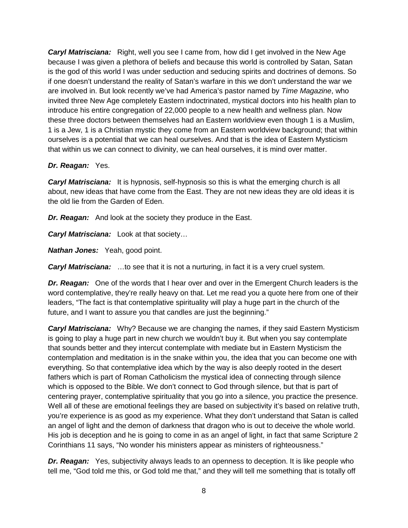*Caryl Matrisciana:* Right, well you see I came from, how did I get involved in the New Age because I was given a plethora of beliefs and because this world is controlled by Satan, Satan is the god of this world I was under seduction and seducing spirits and doctrines of demons. So if one doesn't understand the reality of Satan's warfare in this we don't understand the war we are involved in. But look recently we've had America's pastor named by *Time Magazine*, who invited three New Age completely Eastern indoctrinated, mystical doctors into his health plan to introduce his entire congregation of 22,000 people to a new health and wellness plan. Now these three doctors between themselves had an Eastern worldview even though 1 is a Muslim, 1 is a Jew, 1 is a Christian mystic they come from an Eastern worldview background; that within ourselves is a potential that we can heal ourselves. And that is the idea of Eastern Mysticism that within us we can connect to divinity, we can heal ourselves, it is mind over matter.

#### *Dr. Reagan:* Yes.

*Caryl Matrisciana:* It is hypnosis, self-hypnosis so this is what the emerging church is all about, new ideas that have come from the East. They are not new ideas they are old ideas it is the old lie from the Garden of Eden.

*Dr. Reagan:* And look at the society they produce in the East.

*Caryl Matrisciana:* Look at that society…

*Nathan Jones:* Yeah, good point.

*Caryl Matrisciana:* …to see that it is not a nurturing, in fact it is a very cruel system.

*Dr. Reagan:* One of the words that I hear over and over in the Emergent Church leaders is the word contemplative, they're really heavy on that. Let me read you a quote here from one of their leaders, "The fact is that contemplative spirituality will play a huge part in the church of the future, and I want to assure you that candles are just the beginning."

*Caryl Matrisciana:* Why? Because we are changing the names, if they said Eastern Mysticism is going to play a huge part in new church we wouldn't buy it. But when you say contemplate that sounds better and they intercut contemplate with mediate but in Eastern Mysticism the contemplation and meditation is in the snake within you, the idea that you can become one with everything. So that contemplative idea which by the way is also deeply rooted in the desert fathers which is part of Roman Catholicism the mystical idea of connecting through silence which is opposed to the Bible. We don't connect to God through silence, but that is part of centering prayer, contemplative spirituality that you go into a silence, you practice the presence. Well all of these are emotional feelings they are based on subjectivity it's based on relative truth, you're experience is as good as my experience. What they don't understand that Satan is called an angel of light and the demon of darkness that dragon who is out to deceive the whole world. His job is deception and he is going to come in as an angel of light, in fact that same Scripture 2 Corinthians 11 says, "No wonder his ministers appear as ministers of righteousness."

*Dr. Reagan:* Yes, subjectivity always leads to an openness to deception. It is like people who tell me, "God told me this, or God told me that," and they will tell me something that is totally off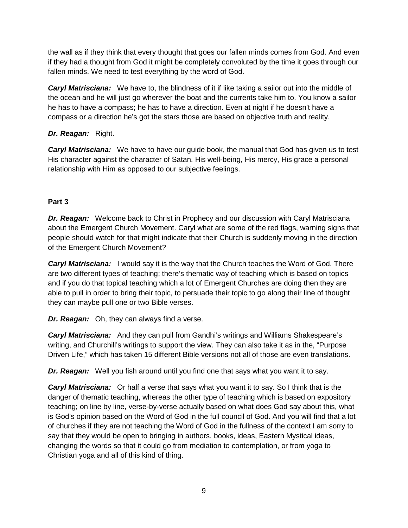the wall as if they think that every thought that goes our fallen minds comes from God. And even if they had a thought from God it might be completely convoluted by the time it goes through our fallen minds. We need to test everything by the word of God.

*Caryl Matrisciana:* We have to, the blindness of it if like taking a sailor out into the middle of the ocean and he will just go wherever the boat and the currents take him to. You know a sailor he has to have a compass; he has to have a direction. Even at night if he doesn't have a compass or a direction he's got the stars those are based on objective truth and reality.

## *Dr. Reagan:* Right.

*Caryl Matrisciana:* We have to have our guide book, the manual that God has given us to test His character against the character of Satan. His well-being, His mercy, His grace a personal relationship with Him as opposed to our subjective feelings.

## **Part 3**

*Dr. Reagan:* Welcome back to Christ in Prophecy and our discussion with Caryl Matrisciana about the Emergent Church Movement. Caryl what are some of the red flags, warning signs that people should watch for that might indicate that their Church is suddenly moving in the direction of the Emergent Church Movement?

*Caryl Matrisciana:* I would say it is the way that the Church teaches the Word of God. There are two different types of teaching; there's thematic way of teaching which is based on topics and if you do that topical teaching which a lot of Emergent Churches are doing then they are able to pull in order to bring their topic, to persuade their topic to go along their line of thought they can maybe pull one or two Bible verses.

*Dr. Reagan:* Oh, they can always find a verse.

*Caryl Matrisciana:* And they can pull from Gandhi's writings and Williams Shakespeare's writing, and Churchill's writings to support the view. They can also take it as in the, "Purpose Driven Life," which has taken 15 different Bible versions not all of those are even translations.

*Dr. Reagan:* Well you fish around until you find one that says what you want it to say.

*Caryl Matrisciana:* Or half a verse that says what you want it to say. So I think that is the danger of thematic teaching, whereas the other type of teaching which is based on expository teaching; on line by line, verse-by-verse actually based on what does God say about this, what is God's opinion based on the Word of God in the full council of God. And you will find that a lot of churches if they are not teaching the Word of God in the fullness of the context I am sorry to say that they would be open to bringing in authors, books, ideas, Eastern Mystical ideas, changing the words so that it could go from mediation to contemplation, or from yoga to Christian yoga and all of this kind of thing.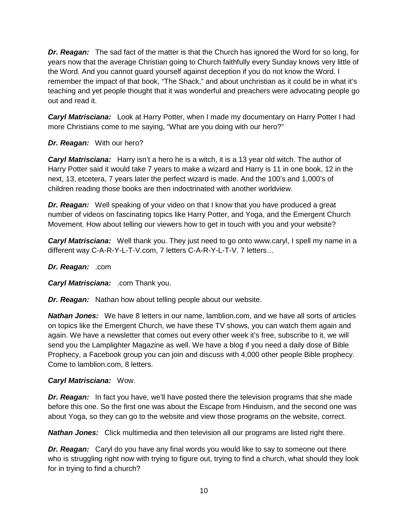*Dr. Reagan:* The sad fact of the matter is that the Church has ignored the Word for so long, for years now that the average Christian going to Church faithfully every Sunday knows very little of the Word. And you cannot guard yourself against deception if you do not know the Word. I remember the impact of that book, "The Shack," and about unchristian as it could be in what it's teaching and yet people thought that it was wonderful and preachers were advocating people go out and read it.

*Caryl Matrisciana:* Look at Harry Potter, when I made my documentary on Harry Potter I had more Christians come to me saying, "What are you doing with our hero?"

#### *Dr. Reagan:* With our hero?

*Caryl Matrisciana:* Harry isn't a hero he is a witch, it is a 13 year old witch. The author of Harry Potter said it would take 7 years to make a wizard and Harry is 11 in one book, 12 in the next, 13, etcetera, 7 years later the perfect wizard is made. And the 100's and 1,000's of children reading those books are then indoctrinated with another worldview.

*Dr. Reagan:* Well speaking of your video on that I know that you have produced a great number of videos on fascinating topics like Harry Potter, and Yoga, and the Emergent Church Movement. How about telling our viewers how to get in touch with you and your website?

*Caryl Matrisciana:* Well thank you. They just need to go onto www.caryl, I spell my name in a different way C-A-R-Y-L-T-V.com, 7 letters C-A-R-Y-L-T-V. 7 letters…

#### *Dr. Reagan:* .com

*Caryl Matrisciana:* .com Thank you.

*Dr. Reagan:* Nathan how about telling people about our website.

*Nathan Jones:* We have 8 letters in our name, lamblion.com, and we have all sorts of articles on topics like the Emergent Church, we have these TV shows, you can watch them again and again. We have a newsletter that comes out every other week it's free, subscribe to it, we will send you the Lamplighter Magazine as well. We have a blog if you need a daily dose of Bible Prophecy, a Facebook group you can join and discuss with 4,000 other people Bible prophecy. Come to lamblion.com, 8 letters.

#### *Caryl Matrisciana:* Wow.

*Dr. Reagan:* In fact you have, we'll have posted there the television programs that she made before this one. So the first one was about the Escape from Hinduism, and the second one was about Yoga, so they can go to the website and view those programs on the website, correct.

**Nathan Jones:** Click multimedia and then television all our programs are listed right there.

*Dr. Reagan:* Caryl do you have any final words you would like to say to someone out there who is struggling right now with trying to figure out, trying to find a church, what should they look for in trying to find a church?